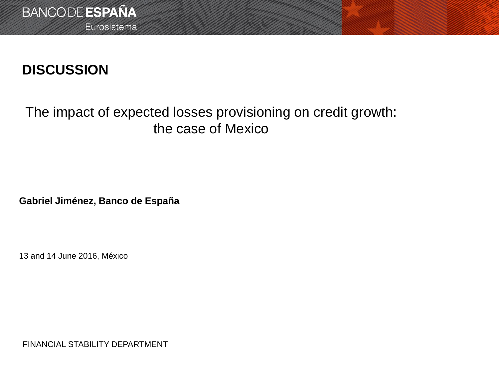# **DISCUSSION**

## The impact of expected losses provisioning on credit growth: the case of Mexico

**Gabriel Jiménez, Banco de España**

13 and 14 June 2016, México

FINANCIAL STABILITY DEPARTMENT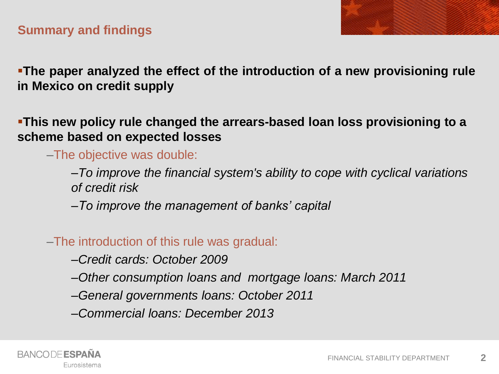

**The paper analyzed the effect of the introduction of a new provisioning rule in Mexico on credit supply**

**This new policy rule changed the arrears-based loan loss provisioning to a scheme based on expected losses**

–The objective was double:

–*To improve the financial system's ability to cope with cyclical variations of credit risk*

–*To improve the management of banks' capital*

–The introduction of this rule was gradual:

–*Credit cards: October 2009*

–*Other consumption loans and mortgage loans: March 2011*

–*General governments loans: October 2011*

–*Commercial loans: December 2013*

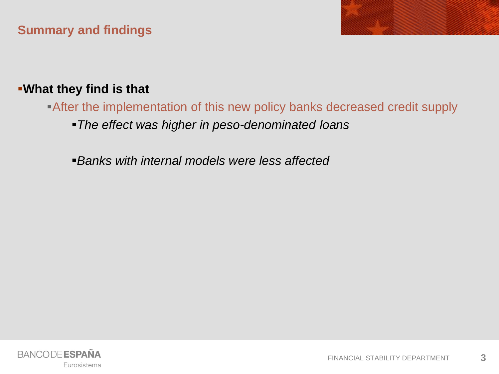### **Summary and findings**

### **What they find is that**

After the implementation of this new policy banks decreased credit supply

*The effect was higher in peso-denominated loans*

*Banks with internal models were less affected*

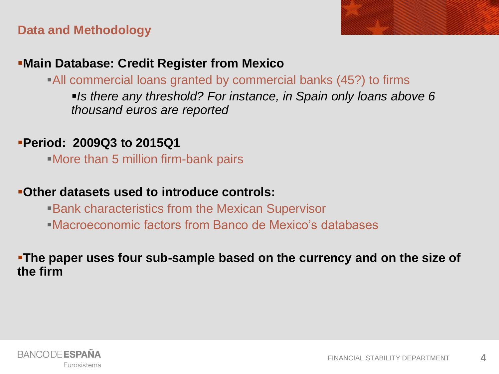### **Data and Methodology**



### **Main Database: Credit Register from Mexico**

All commercial loans granted by commercial banks (45?) to firms

*Is there any threshold? For instance, in Spain only loans above 6 thousand euros are reported*

### **Period: 2009Q3 to 2015Q1**

More than 5 million firm-bank pairs

### **Other datasets used to introduce controls:**

Bank characteristics from the Mexican Supervisor Macroeconomic factors from Banco de Mexico's databases

### **The paper uses four sub-sample based on the currency and on the size of the firm**

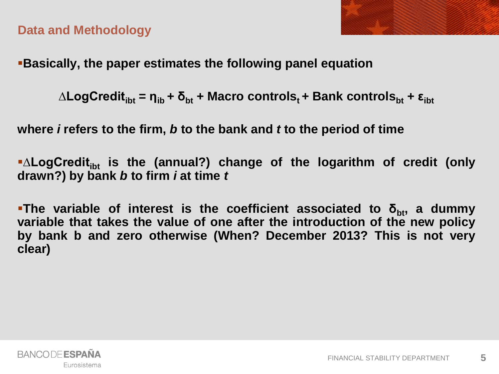

### **Data and Methodology**

**Basically, the paper estimates the following panel equation**

 $\Delta$ **LogCredit**<sub>ibt</sub> = η<sub>ib</sub> + δ<sub>bt</sub> + Macro controls<sub>t</sub> + Bank controls<sub>bt</sub> + ε<sub>ibt</sub>

**where** *i* **refers to the firm,** *b* **to the bank and** *t* **to the period of time**

**∆LogCreditibt is the (annual?) change of the logarithm of credit (only drawn?) by bank** *b* **to firm** *i* **at time** *t*

**The variable of interest is the coefficient associated to δbt, a dummy variable that takes the value of one after the introduction of the new policy by bank b and zero otherwise (When? December 2013? This is not very clear)**

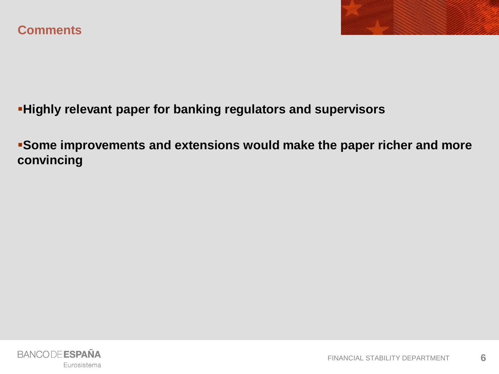

**Highly relevant paper for banking regulators and supervisors**

**Some improvements and extensions would make the paper richer and more convincing**

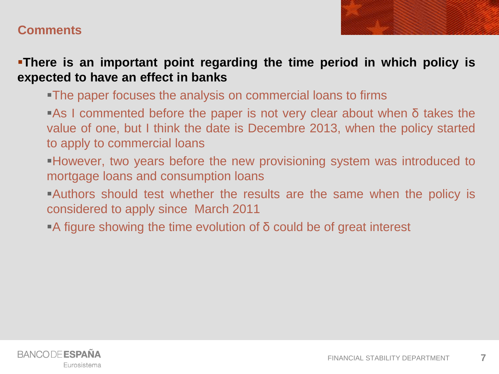

**There is an important point regarding the time period in which policy is expected to have an effect in banks**

The paper focuses the analysis on commercial loans to firms

As I commented before the paper is not very clear about when δ takes the value of one, but I think the date is Decembre 2013, when the policy started to apply to commercial loans

However, two years before the new provisioning system was introduced to mortgage loans and consumption loans

Authors should test whether the results are the same when the policy is considered to apply since March 2011

A figure showing the time evolution of δ could be of great interest

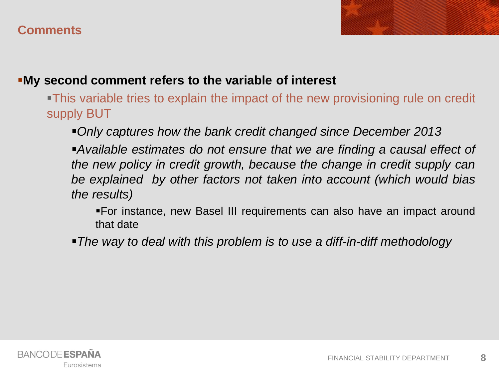

This variable tries to explain the impact of the new provisioning rule on credit supply BUT

*Only captures how the bank credit changed since December 2013*

*Available estimates do not ensure that we are finding a causal effect of the new policy in credit growth, because the change in credit supply can be explained by other factors not taken into account (which would bias the results)*

For instance, new Basel III requirements can also have an impact around that date

*The way to deal with this problem is to use a diff-in-diff methodology*

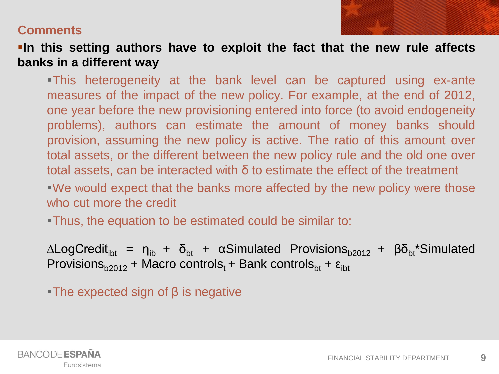**In this setting authors have to exploit the fact that the new rule affects banks in a different way**

This heterogeneity at the bank level can be captured using ex-ante measures of the impact of the new policy. For example, at the end of 2012, one year before the new provisioning entered into force (to avoid endogeneity problems), authors can estimate the amount of money banks should provision, assuming the new policy is active. The ratio of this amount over total assets, or the different between the new policy rule and the old one over total assets, can be interacted with δ to estimate the effect of the treatment

We would expect that the banks more affected by the new policy were those who cut more the credit

Thus, the equation to be estimated could be similar to:

 $\Delta$ LogCredit<sub>ibt</sub> = η<sub>ib</sub> + δ<sub>bt</sub> + αSimulated Provisions<sub>b2012</sub> + βδ<sub>bt</sub>\*Simulated Provisions<sub>b2012</sub> + Macro controls<sub>t</sub> + Bank controls<sub>bt</sub> +  $\varepsilon$ <sub>ibt</sub>

The expected sign of  $\beta$  is negative

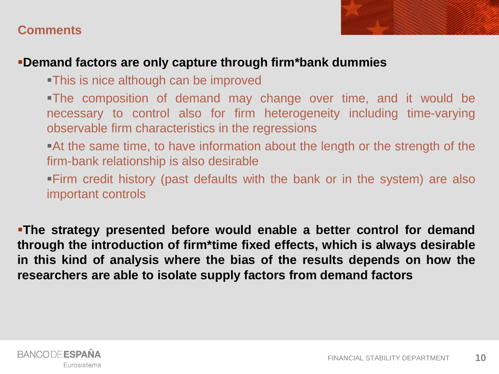

### **Demand factors are only capture through firm\*bank dummies**

This is nice although can be improved

The composition of demand may change over time, and it would be necessary to control also for firm heterogeneity including time-varying observable firm characteristics in the regressions

At the same time, to have information about the length or the strength of the firm-bank relationship is also desirable

Firm credit history (past defaults with the bank or in the system) are also important controls

**The strategy presented before would enable a better control for demand through the introduction of firm\*time fixed effects, which is always desirable in this kind of analysis where the bias of the results depends on how the researchers are able to isolate supply factors from demand factors**

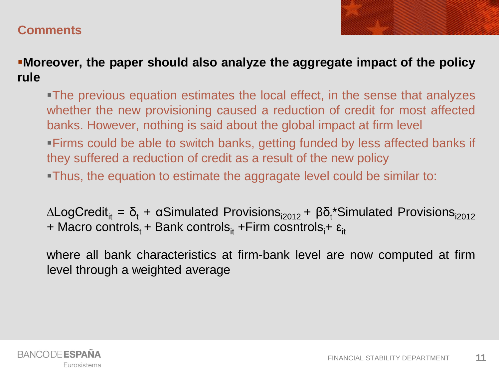**Moreover, the paper should also analyze the aggregate impact of the policy rule**

The previous equation estimates the local effect, in the sense that analyzes whether the new provisioning caused a reduction of credit for most affected banks. However, nothing is said about the global impact at firm level Firms could be able to switch banks, getting funded by less affected banks if they suffered a reduction of credit as a result of the new policy

Thus, the equation to estimate the aggragate level could be similar to:

 $\Delta$ LogCredit<sub>it</sub> = δ<sub>t</sub> + αSimulated Provisions<sub>i2012</sub> + βδ<sub>t</sub>\*Simulated Provisions<sub>i2012</sub> + Macro controls<sub>t</sub> + Bank controls<sub>it</sub> +Firm cosntrols<sub>i</sub>+  $\varepsilon_{it}$ 

where all bank characteristics at firm-bank level are now computed at firm level through a weighted average

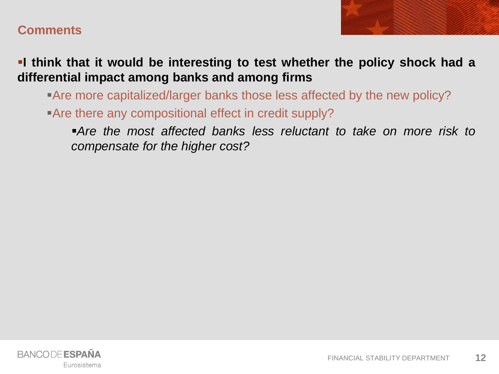

**I think that it would be interesting to test whether the policy shock had a differential impact among banks and among firms**

Are more capitalized/larger banks those less affected by the new policy? Are there any compositional effect in credit supply?

*Are the most affected banks less reluctant to take on more risk to compensate for the higher cost?*

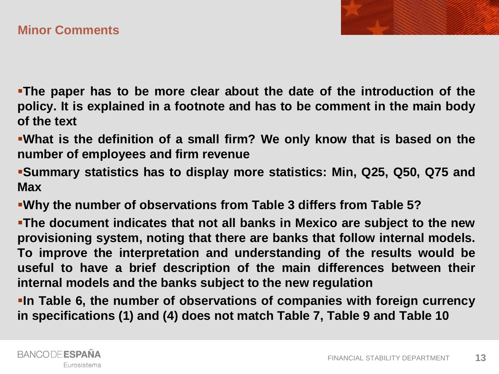**The paper has to be more clear about the date of the introduction of the policy. It is explained in a footnote and has to be comment in the main body of the text**

- **What is the definition of a small firm? We only know that is based on the number of employees and firm revenue**
- **Summary statistics has to display more statistics: Min, Q25, Q50, Q75 and Max**
- **Why the number of observations from Table 3 differs from Table 5?**

**The document indicates that not all banks in Mexico are subject to the new provisioning system, noting that there are banks that follow internal models. To improve the interpretation and understanding of the results would be useful to have a brief description of the main differences between their internal models and the banks subject to the new regulation**

**In Table 6, the number of observations of companies with foreign currency in specifications (1) and (4) does not match Table 7, Table 9 and Table 10**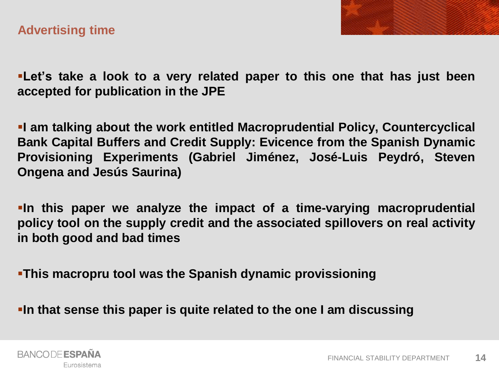



**Let's take a look to a very related paper to this one that has just been accepted for publication in the JPE**

**I am talking about the work entitled Macroprudential Policy, Countercyclical Bank Capital Buffers and Credit Supply: Evicence from the Spanish Dynamic Provisioning Experiments (Gabriel Jiménez, José-Luis Peydró, Steven Ongena and Jesús Saurina)**

**In this paper we analyze the impact of a time-varying macroprudential policy tool on the supply credit and the associated spillovers on real activity in both good and bad times**

**This macropru tool was the Spanish dynamic provissioning**

**In that sense this paper is quite related to the one I am discussing**

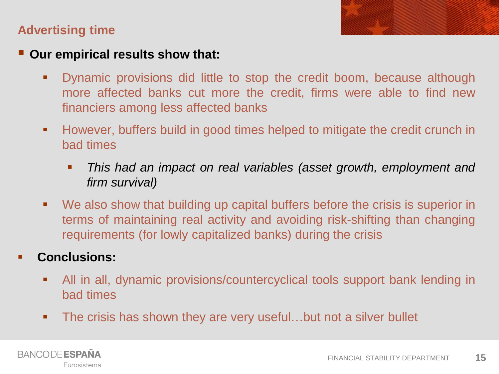### **Advertising time**

### **Our empirical results show that:**

- Dynamic provisions did little to stop the credit boom, because although more affected banks cut more the credit, firms were able to find new financiers among less affected banks
- However, buffers build in good times helped to mitigate the credit crunch in bad times
	- *This had an impact on real variables (asset growth, employment and firm survival)*
- We also show that building up capital buffers before the crisis is superior in terms of maintaining real activity and avoiding risk-shifting than changing requirements (for lowly capitalized banks) during the crisis

### **Conclusions:**

- All in all, dynamic provisions/countercyclical tools support bank lending in bad times
- **The crisis has shown they are very useful...but not a silver bullet**